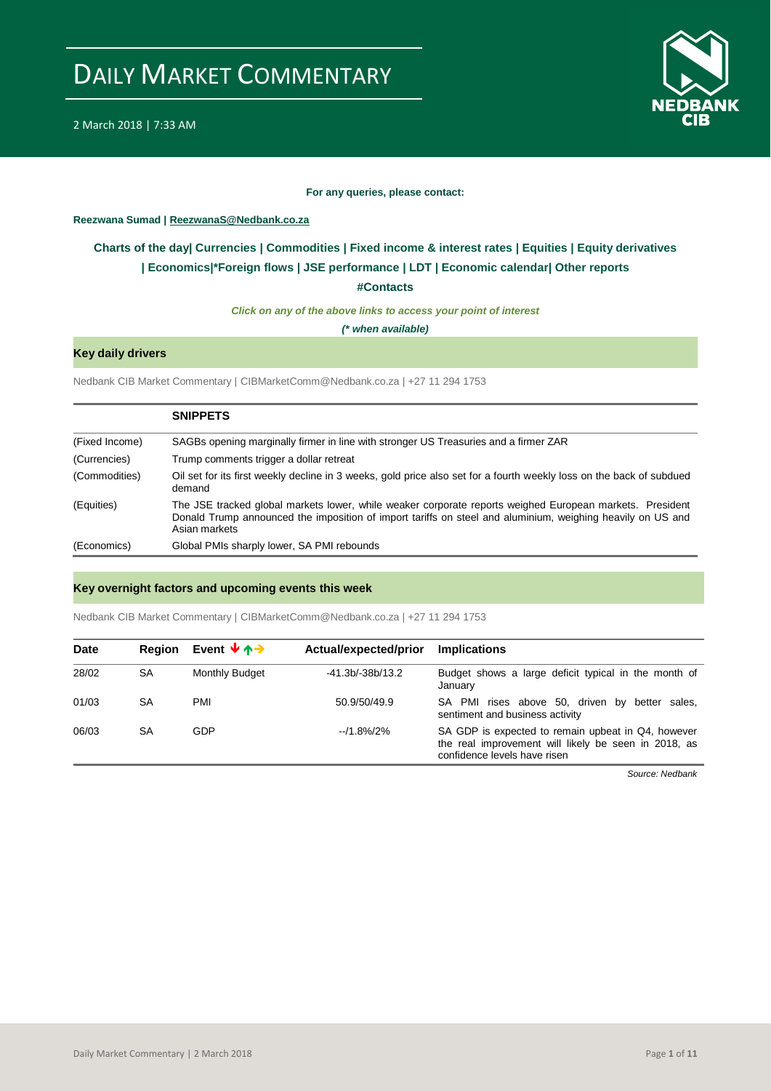

#### **For any queries, please contact:**

#### <span id="page-0-0"></span>**Reezwana Sumad | ReezwanaS@Nedbank.co.za**

### **Charts of the day| [Currencies](#page-2-0) [| Commodities](#page-3-0) | [Fixed income & interest rates](#page-1-0) | [Equities](#page-4-0) | Equity derivatives | [Economics|\\*](#page-7-0)Foreign flows [| JSE performance](#page-4-1) | [LDT](#page-5-0) | [Economic calendar|](#page-8-0) Other reports**

**[#Contacts](#page-9-0)**

*Click on any of the above links to access your point of interest*

*(\* when available)*

### **Key daily drivers**

Nedbank CIB Market Commentary | CIBMarketComm@Nedbank.co.za | +27 11 294 1753

|                | <b>SNIPPETS</b>                                                                                                                                                                                                                         |
|----------------|-----------------------------------------------------------------------------------------------------------------------------------------------------------------------------------------------------------------------------------------|
| (Fixed Income) | SAGBs opening marginally firmer in line with stronger US Treasuries and a firmer ZAR                                                                                                                                                    |
| (Currencies)   | Trump comments trigger a dollar retreat                                                                                                                                                                                                 |
| (Commodities)  | Oil set for its first weekly decline in 3 weeks, gold price also set for a fourth weekly loss on the back of subdued<br>demand                                                                                                          |
| (Equities)     | The JSE tracked global markets lower, while weaker corporate reports weighed European markets. President<br>Donald Trump announced the imposition of import tariffs on steel and aluminium, weighing heavily on US and<br>Asian markets |
| (Economics)    | Global PMIs sharply lower, SA PMI rebounds                                                                                                                                                                                              |

#### **Key overnight factors and upcoming events this week**

Nedbank CIB Market Commentary | CIBMarketComm@Nedbank.co.za | +27 11 294 1753

| <b>Date</b> | <b>Region</b> | Event $\forall$ $\land \rightarrow$ | Actual/expected/prior | <b>Implications</b>                                                                                                                        |
|-------------|---------------|-------------------------------------|-----------------------|--------------------------------------------------------------------------------------------------------------------------------------------|
| 28/02       | <b>SA</b>     | Monthly Budget                      | $-41.3b/-38b/13.2$    | Budget shows a large deficit typical in the month of<br>January                                                                            |
| 01/03       | SA            | PMI                                 | 50.9/50/49.9          | SA PMI rises above 50, driven by better sales,<br>sentiment and business activity                                                          |
| 06/03       | SA            | GDP                                 | $-11.8\%$ /2%         | SA GDP is expected to remain upbeat in Q4, however<br>the real improvement will likely be seen in 2018, as<br>confidence levels have risen |

*Source: Nedbank*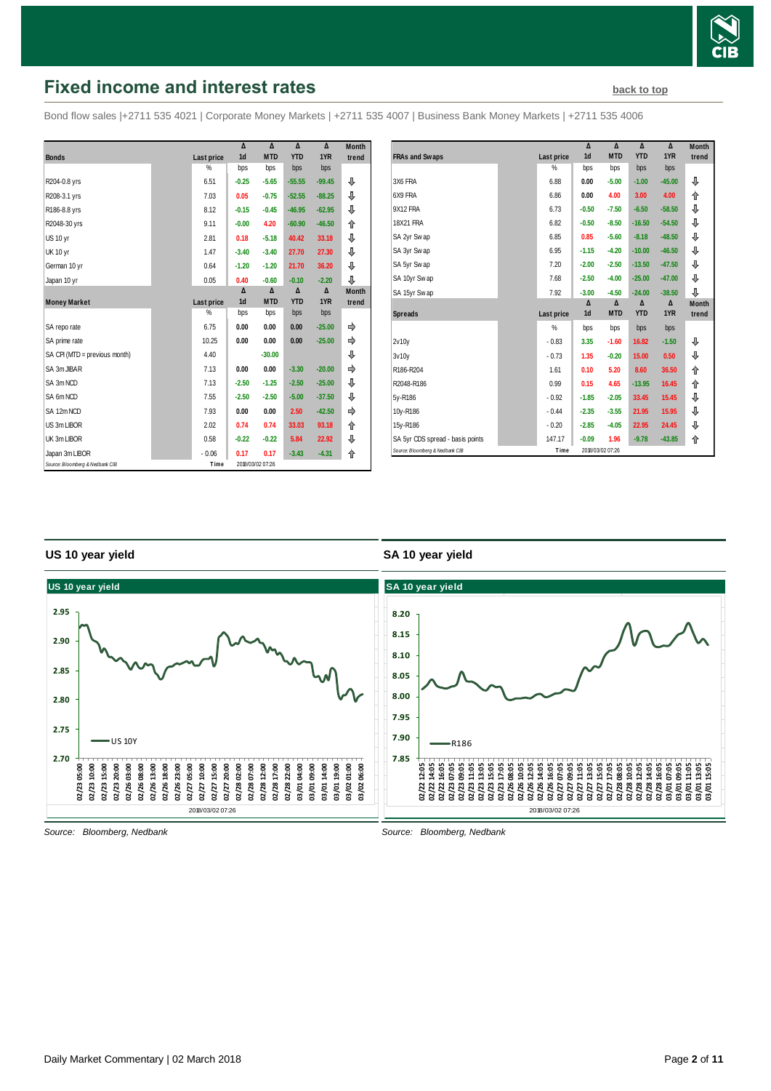

# <span id="page-1-0"></span>**Fixed income and interest rates [back to top](#page-0-0) back to top**

Bond flow sales |+2711 535 4021 | Corporate Money Markets | +2711 535 4007 | Business Bank Money Markets | +2711 535 4006

|                                 |            | Δ              | Δ                | Δ          | Δ        | <b>Month</b> |
|---------------------------------|------------|----------------|------------------|------------|----------|--------------|
| <b>Bonds</b>                    | Last price | 1 <sub>d</sub> | <b>MTD</b>       | <b>YTD</b> | 1YR      | trend        |
|                                 | $\%$       | bps            | bps              | bps        | bps      |              |
| R204-0.8 yrs                    | 6.51       | $-0.25$        | $-5.65$          | $-55.55$   | $-99.45$ | ⊕            |
| R208-3.1 yrs                    | 7.03       | 0.05           | $-0.75$          | $-52.55$   | $-88.25$ | ⊕            |
| R186-8.8 yrs                    | 8.12       | $-0.15$        | $-0.45$          | $-46.95$   | $-62.95$ | ⊕            |
| R2048-30 yrs                    | 9.11       | $-0.00$        | 4.20             | $-60.90$   | $-46.50$ | ⇑            |
| <b>US 10 yr</b>                 | 2.81       | 0.18           | $-5.18$          | 40.42      | 33.18    | ⊕            |
| <b>UK 10 yr</b>                 | 1.47       | $-3.40$        | $-3.40$          | 27.70      | 27.30    | ⊕            |
| German 10 yr                    | 0.64       | $-1.20$        | $-1.20$          | 21.70      | 36.20    | ⊕            |
| Japan 10 yr                     | 0.05       | 0.40           | $-0.60$          | $-0.10$    | $-2.20$  | ⊕            |
|                                 |            | Δ              | Δ                | Δ          | Δ        | <b>Month</b> |
| <b>Money Market</b>             | Last price | 1 <sub>d</sub> | <b>MTD</b>       | <b>YTD</b> | 1YR      | trend        |
|                                 | $\%$       | bps            | bps              | bps        | bps      |              |
| SA repo rate                    | 6.75       | 0.00           | 0.00             | 0.00       | $-25.00$ | ⇛            |
| SA prime rate                   | 10.25      | 0.00           | 0.00             | 0.00       | $-25.00$ | ⇛            |
| SA CPI (MTD = previous month)   | 4.40       |                | $-30.00$         |            |          | ⊕            |
| SA 3m JIBAR                     | 7.13       | 0.00           | 0.00             | $-3.30$    | $-20.00$ | ⇛            |
| SA 3m NCD                       | 7.13       | $-2.50$        | $-1.25$          | $-2.50$    | $-25.00$ | ⊕            |
| SA 6m NCD                       | 7.55       | $-2.50$        | $-2.50$          | $-5.00$    | $-37.50$ | ⇩            |
| SA 12m NCD                      | 7.93       | 0.00           | 0.00             | 2.50       | $-42.50$ | ⇛            |
| US 3m LIBOR                     | 2.02       | 0.74           | 0.74             | 33.03      | 93.18    | ⇑            |
| UK 3m LIBOR                     | 0.58       | $-0.22$        | $-0.22$          | 5.84       | 22.92    | ⊕            |
| Japan 3m LIBOR                  | $-0.06$    | 0.17           | 0.17             | $-3.43$    | $-4.31$  | ⇑            |
| Source: Bloomberg & Nedbank CIB | Time       |                | 2018/03/02 07:26 |            |          |              |

|                                  |               | Δ              | Δ                | Δ          | Δ        | <b>Month</b> |
|----------------------------------|---------------|----------------|------------------|------------|----------|--------------|
| <b>FRAs and Swaps</b>            | Last price    | 1 <sub>d</sub> | <b>MTD</b>       | <b>YTD</b> | 1YR      | trend        |
|                                  | %             | bps            | bps              | bps        | bps      |              |
| 3X6 FRA                          | 6.88          | 0.00           | $-5.00$          | $-1.00$    | $-45.00$ | ⊕            |
| 6X9 FRA                          | 6.86          | 0.00           | 4.00             | 3.00       | 4.00     | 合            |
| 9X12 FRA                         | 6.73          | $-0.50$        | $-7.50$          | $-6.50$    | $-58.50$ | ⊕            |
| 18X21 FRA                        | 6.82          | $-0.50$        | $-8.50$          | $-16.50$   | $-54.50$ | ⊕            |
| SA 2yr Swap                      | 6.85          | 0.85           | $-5.60$          | $-8.18$    | $-48.50$ | ⊕            |
| SA 3yr Swap                      | 6.95          | $-1.15$        | $-4.20$          | $-10.00$   | $-46.50$ | ⊕            |
| SA 5yr Swap                      | 7.20          | $-2.00$        | $-2.50$          | $-13.50$   | $-47.50$ | ⊕            |
| SA 10yr Swap                     | 7.68          | $-2.50$        | $-4.00$          | $-25.00$   | $-47.00$ | ⊕            |
| SA 15yr Swap                     | 7.92          | $-3.00$        | $-4.50$          | $-24.00$   | $-38.50$ | ⊕            |
|                                  |               | Δ              | Δ                | Δ          | Δ        | <b>Month</b> |
| <b>Spreads</b>                   | Last price    | 1d             | <b>MTD</b>       | <b>YTD</b> | 1YR      | trend        |
|                                  | $\frac{9}{6}$ | bps            | bps              | bps        | bps      |              |
| 2v10v                            | $-0.83$       | 3.35           | $-1.60$          | 16.82      | $-1.50$  | ⊕            |
| 3v10y                            | $-0.73$       | 1.35           | $-0.20$          | 15.00      | 0.50     | ⊕            |
| R186-R204                        | 1.61          | 0.10           | 5.20             | 8.60       | 36.50    | ⇑            |
| R2048-R186                       | 0.99          | 0.15           | 4.65             | $-13.95$   | 16.45    | 合            |
| 5y-R186                          | $-0.92$       | $-1.85$        | $-2.05$          | 33.45      | 15.45    | ⊕            |
| 10y-R186                         | $-0.44$       | $-2.35$        | $-3.55$          | 21.95      | 15.95    | ⊕            |
| 15y-R186                         | $-0.20$       | $-2.85$        | $-4.05$          | 22.95      | 24.45    | ⊕            |
| SA 5yr CDS spread - basis points | 147.17        | $-0.09$        | 1.96             | $-9.78$    | $-43.85$ | ⇑            |
| Source: Bloomberg & Nedbank CIB  | Time          |                | 2018/03/02 07:26 |            |          |              |

#### **US 10 year yield**

#### **SA 10 year yield**



*Source: Bloomberg, Nedbank*

*Source: Bloomberg, Nedbank*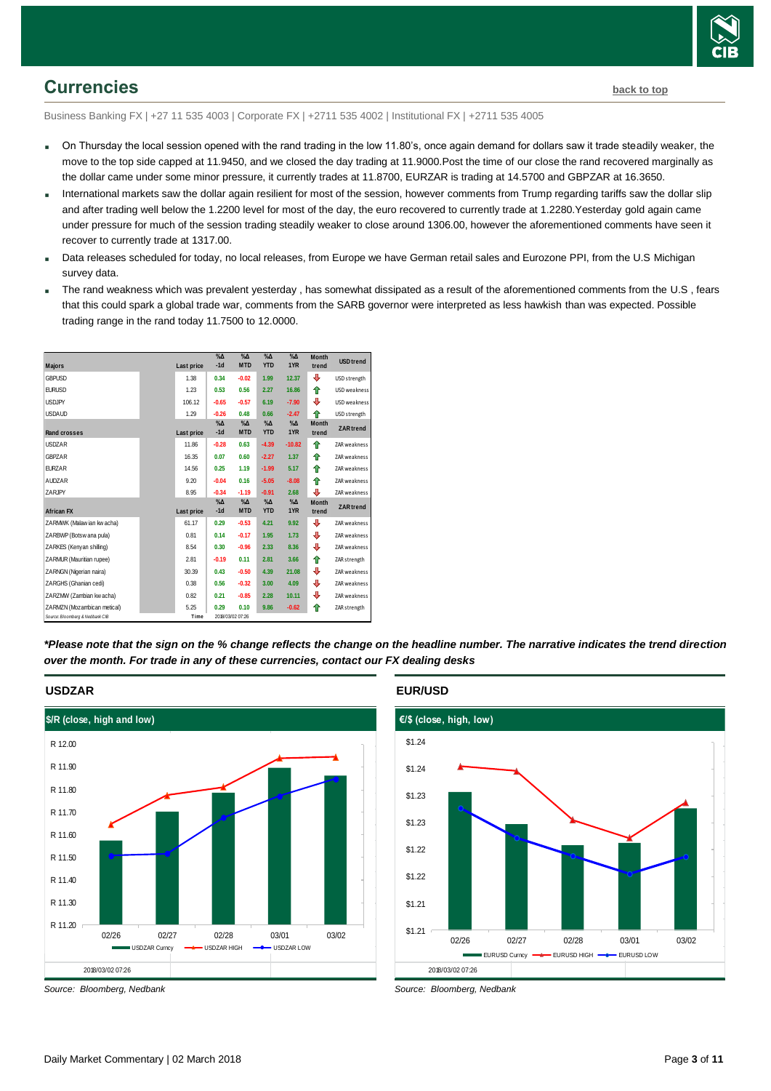

## <span id="page-2-0"></span>**Currencies [back to top](#page-0-0)**

Business Banking FX | +27 11 535 4003 | Corporate FX | +2711 535 4002 | Institutional FX | +2711 535 4005

- On Thursday the local session opened with the rand trading in the low 11.80's, once again demand for dollars saw it trade steadily weaker, the move to the top side capped at 11.9450, and we closed the day trading at 11.9000.Post the time of our close the rand recovered marginally as the dollar came under some minor pressure, it currently trades at 11.8700, EURZAR is trading at 14.5700 and GBPZAR at 16.3650.
- International markets saw the dollar again resilient for most of the session, however comments from Trump regarding tariffs saw the dollar slip and after trading well below the 1.2200 level for most of the day, the euro recovered to currently trade at 1.2280.Yesterday gold again came under pressure for much of the session trading steadily weaker to close around 1306.00, however the aforementioned comments have seen it recover to currently trade at 1317.00.
- Data releases scheduled for today, no local releases, from Europe we have German retail sales and Eurozone PPI, from the U.S Michigan survey data.
- The rand weakness which was prevalent yesterday , has somewhat dissipated as a result of the aforementioned comments from the U.S , fears that this could spark a global trade war, comments from the SARB governor were interpreted as less hawkish than was expected. Possible trading range in the rand today 11.7500 to 12.0000.



*\*Please note that the sign on the % change reflects the change on the headline number. The narrative indicates the trend direction over the month. For trade in any of these currencies, contact our FX dealing desks*



#### **USDZAR**

#### **EUR/USD**



*Source: Bloomberg, Nedbank*

*Source: Bloomberg, Nedbank*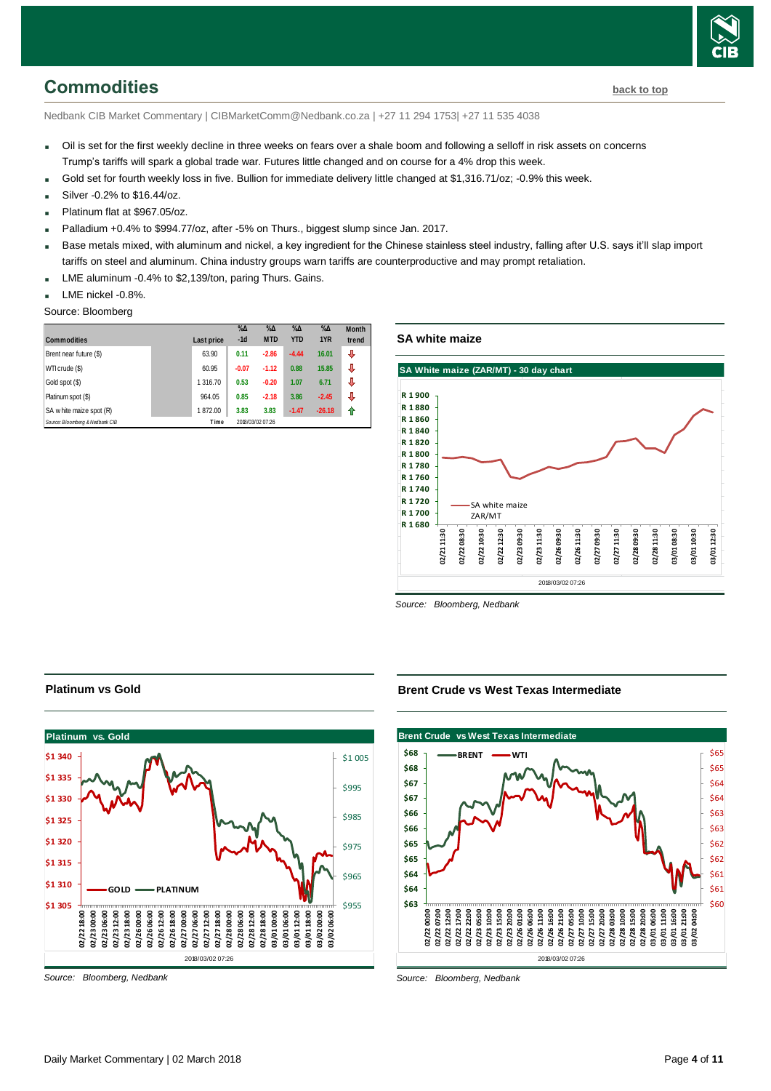<span id="page-3-0"></span>Nedbank CIB Market Commentary | CIBMarketComm@Nedbank.co.za | +27 11 294 1753| +27 11 535 4038

- Oil is set for the first weekly decline in three weeks on fears over a shale boom and following a selloff in risk assets on concerns Trump's tariffs will spark a global trade war. Futures little changed and on course for a 4% drop this week.
- Gold set for fourth weekly loss in five. Bullion for immediate delivery little changed at \$1,316.71/oz; -0.9% this week.
- Silver -0.2% to \$16.44/oz.
- Platinum flat at \$967.05/oz.
- Palladium +0.4% to \$994.77/oz, after -5% on Thurs., biggest slump since Jan. 2017.
- Base metals mixed, with aluminum and nickel, a key ingredient for the Chinese stainless steel industry, falling after U.S. says it'll slap import tariffs on steel and aluminum. China industry groups warn tariffs are counterproductive and may prompt retaliation.
- LME aluminum -0.4% to \$2,139/ton, paring Thurs. Gains.
- LME nickel -0.8%.
- Source: Bloomberg

| <b>Commodities</b>              | Last price | $\%$ $\Delta$<br>$-1d$ | $\%$ $\Delta$<br><b>MTD</b> | $\%$ $\Delta$<br><b>YTD</b> | $\%$ $\Delta$<br>1YR | <b>Month</b><br>trend |
|---------------------------------|------------|------------------------|-----------------------------|-----------------------------|----------------------|-----------------------|
| Brent near future (\$)          | 63.90      | 0.11                   | $-2.86$                     | $-4.44$                     | 16.01                | ⇩                     |
| WTI crude (\$)                  | 60.95      | $-0.07$                | $-1.12$                     | 0.88                        | 15.85                | ⇩                     |
| Gold spot (\$)                  | 1 316.70   | 0.53                   | $-0.20$                     | 1.07                        | 6.71                 | ⇩                     |
| Platinum spot (\$)              | 964.05     | 0.85                   | $-2.18$                     | 3.86                        | $-2.45$              | ⇩                     |
| SA w hite maize spot (R)        | 1872.00    | 3.83                   | 3.83                        | $-1.47$                     | $-26.18$             | ⇑                     |
| Source: Bloomberg & Nedbank CIB | Time       |                        | 2018/03/02 07:26            |                             |                      |                       |

**SA white maize**



*Source: Bloomberg, Nedbank*

#### **Brent Crude vs West Texas Intermediate**



*Source: Bloomberg, Nedbank*

**Platinum vs Gold**



*Source: Bloomberg, Nedbank*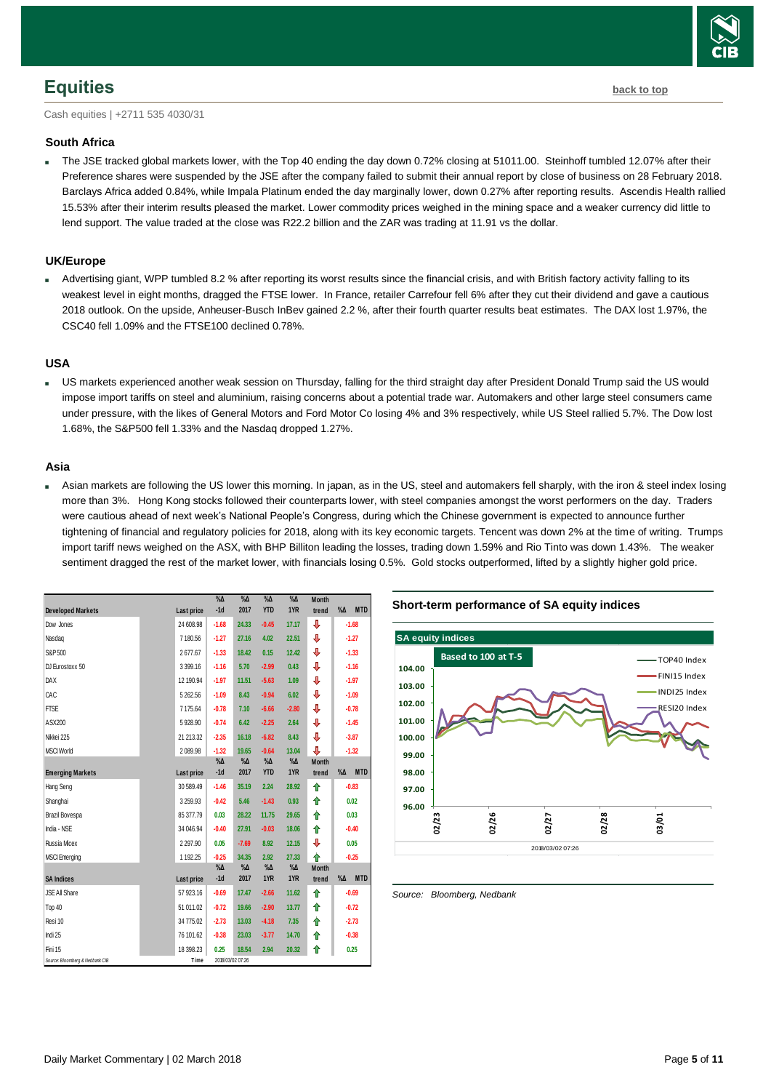## <span id="page-4-0"></span>**Equities [back to top](#page-0-0)**

Cash equities | +2711 535 4030/31

#### **South Africa**

 The JSE tracked global markets lower, with the Top 40 ending the day down 0.72% closing at 51011.00. Steinhoff tumbled 12.07% after their Preference shares were suspended by the JSE after the company failed to submit their annual report by close of business on 28 February 2018. Barclays Africa added 0.84%, while Impala Platinum ended the day marginally lower, down 0.27% after reporting results. Ascendis Health rallied 15.53% after their interim results pleased the market. Lower commodity prices weighed in the mining space and a weaker currency did little to lend support. The value traded at the close was R22.2 billion and the ZAR was trading at 11.91 vs the dollar.

#### **UK/Europe**

 Advertising giant, WPP tumbled 8.2 % after reporting its worst results since the financial crisis, and with British factory activity falling to its weakest level in eight months, dragged the FTSE lower. In France, retailer Carrefour fell 6% after they cut their dividend and gave a cautious 2018 outlook. On the upside, Anheuser-Busch InBev gained 2.2 %, after their fourth quarter results beat estimates. The DAX lost 1.97%, the CSC40 fell 1.09% and the FTSE100 declined 0.78%.

#### **USA**

 US markets experienced another weak session on Thursday, falling for the third straight day after President Donald Trump said the US would impose import tariffs on steel and aluminium, raising concerns about a potential trade war. Automakers and other large steel consumers came under pressure, with the likes of General Motors and Ford Motor Co losing 4% and 3% respectively, while US Steel rallied 5.7%. The Dow lost 1.68%, the S&P500 fell 1.33% and the Nasdaq dropped 1.27%.

#### **Asia**

 Asian markets are following the US lower this morning. In japan, as in the US, steel and automakers fell sharply, with the iron & steel index losing more than 3%. Hong Kong stocks followed their counterparts lower, with steel companies amongst the worst performers on the day. Traders were cautious ahead of next week's National People's Congress, during which the Chinese government is expected to announce further tightening of financial and regulatory policies for 2018, along with its key economic targets. Tencent was down 2% at the time of writing. Trumps import tariff news weighed on the ASX, with BHP Billiton leading the losses, trading down 1.59% and Rio Tinto was down 1.43%. The weaker sentiment dragged the rest of the market lower, with financials losing 0.5%. Gold stocks outperformed, lifted by a slightly higher gold price.

|                                 |               | $\%$ $\Delta$ | $\%$ $\Delta$    | $\%$ $\Delta$ | $\%$ $\Delta$ | <b>Month</b> |                           |
|---------------------------------|---------------|---------------|------------------|---------------|---------------|--------------|---------------------------|
| <b>Developed Markets</b>        | Last price    | $-1d$         | 2017             | <b>YTD</b>    | 1YR           | trend        | <b>MTD</b><br>$\% \Delta$ |
| Dow Jones                       | 24 608.98     | $-1.68$       | 24.33            | $-0.45$       | 17.17         | ⇓            | $-1.68$                   |
| Nasdag                          | 7 180.56      | $-1.27$       | 27.16            | 4.02          | 22.51         | ↓            | $-1.27$                   |
| S&P 500                         | 2677.67       | $-1.33$       | 18.42            | 0.15          | 12.42         | ↓            | $-1.33$                   |
| DJ Eurostoxx 50                 | 3 3 9 9.16    | $-1.16$       | 5.70             | $-2.99$       | 0.43          | ↓            | $-1.16$                   |
| <b>DAX</b>                      | 12 190.94     | $-1.97$       | 11.51            | $-5.63$       | 1.09          | ⇓            | $-1.97$                   |
| CAC                             | 5 262.56      | $-1.09$       | 8.43             | $-0.94$       | 6.02          | ⇓            | $-1.09$                   |
| <b>FTSE</b>                     | 7 175.64      | $-0.78$       | 7.10             | $-6.66$       | $-2.80$       | ⇓            | $-0.78$                   |
| ASX200                          | 5928.90       | $-0.74$       | 6.42             | $-2.25$       | 2.64          | ⇓            | $-1.45$                   |
| Nikkei 225                      | 21 21 3.32    | $-2.35$       | 16.18            | $-6.82$       | 8.43          | ⇓            | $-3.87$                   |
| <b>MSCI World</b>               | 2 089.98      | $-1.32$       | 19.65            | $-0.64$       | 13.04         | ↓            | $-1.32$                   |
|                                 |               | $\% \Delta$   | $\% \Delta$      | $\%$ $\Delta$ | $\%$ $\Delta$ | <b>Month</b> |                           |
| <b>Emerging Markets</b>         | Last price    | $-1d$         | 2017             | <b>YTD</b>    | 1YR           | trend        | $\% \Delta$<br><b>MTD</b> |
| Hang Seng                       | 30 589.49     | $-1.46$       | 35.19            | 2.24          | 28.92         | ⇑            | $-0.83$                   |
| Shanghai                        | 3 259.93      | $-0.42$       | 5.46             | $-1.43$       | 0.93          | ↟            | 0.02                      |
| Brazil Bovespa                  | 85 377.79     | 0.03          | 28.22            | 11.75         | 29.65         | ↟            | 0.03                      |
| India - NSE                     | 34 046.94     | $-0.40$       | 27.91            | $-0.03$       | 18.06         | ↟            | $-0.40$                   |
| <b>Russia Micex</b>             | 2 2 9 7 . 9 0 | 0.05          | $-7.69$          | 8.92          | 12.15         | ↓            | 0.05                      |
| <b>MSCI</b> Emerging            | 1 192.25      | $-0.25$       | 34.35            | 2.92          | 27.33         | ♦            | $-0.25$                   |
|                                 |               | $\% \Delta$   | $\%$ $\Delta$    | $\% \Delta$   | $\%$ $\Delta$ | <b>Month</b> |                           |
| <b>SA Indices</b>               | Last price    | $-1d$         | 2017             | 1YR           | 1YR           | trend        | <b>MTD</b><br>$\% \Delta$ |
| JSE All Share                   | 57 923.16     | $-0.69$       | 17.47            | $-2.66$       | 11.62         | ⇑            | $-0.69$                   |
| Top 40                          | 51 011.02     | $-0.72$       | 19.66            | $-2.90$       | 13.77         | ↟            | $-0.72$                   |
| Resi 10                         | 34 775.02     | $-2.73$       | 13.03            | $-4.18$       | 7.35          | ↟            | $-2.73$                   |
| Indi 25                         | 76 101.62     | $-0.38$       | 23.03            | $-3.77$       | 14.70         | ⇑            | $-0.38$                   |
| Fini 15                         | 18 398.23     | 0.25          | 18.54            | 2.94          | 20.32         | ⇑            | 0.25                      |
| Source: Bloomberg & Nedbank CIB | Time          |               | 2018/03/02 07:26 |               |               |              |                           |





<span id="page-4-1"></span>*Source: Bloomberg, Nedbank*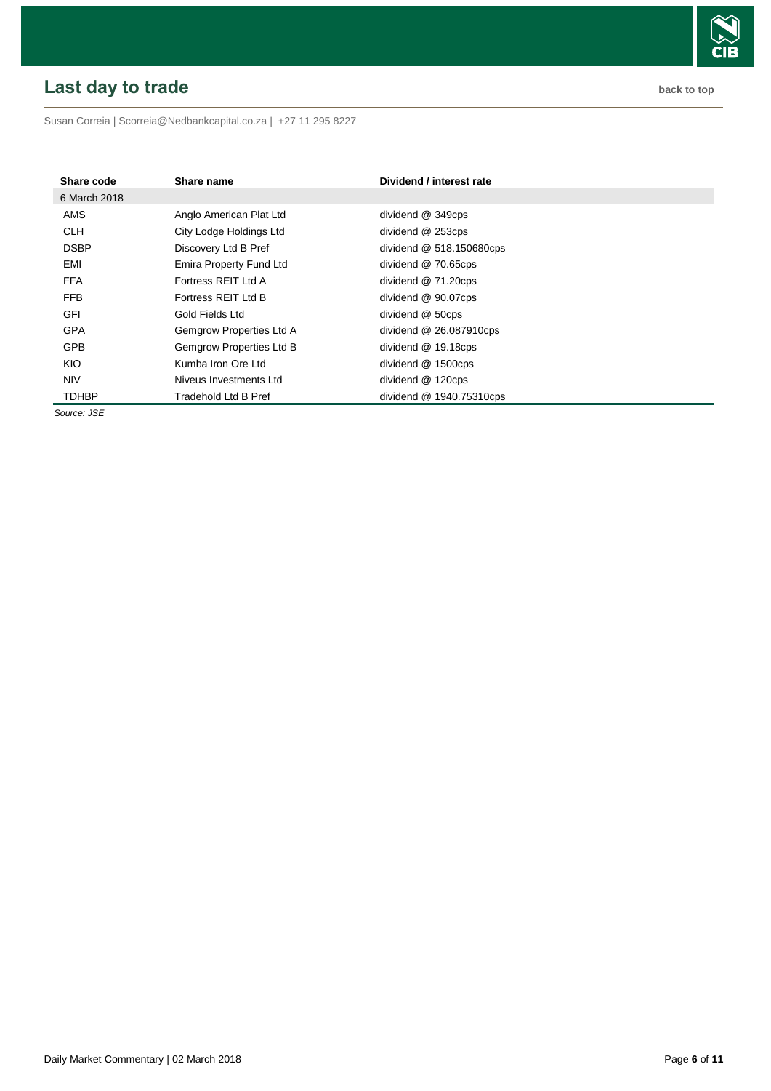# <span id="page-5-0"></span>**Last day to trade back to the contract of the contract of the contract of the contract of the contract of the contract of the contract of the contract of the contract of the contract of the contract of the contract of t**



Susan Correia [| Scorreia@Nedbankcapital.co.za](mailto:Scorreia@Nedbankcapital.co.za) | +27 11 295 8227

| Share code   | Share name               | Dividend / interest rate  |
|--------------|--------------------------|---------------------------|
| 6 March 2018 |                          |                           |
| AMS          | Anglo American Plat Ltd  | dividend @ 349cps         |
| <b>CLH</b>   | City Lodge Holdings Ltd  | dividend @ 253cps         |
| <b>DSBP</b>  | Discovery Ltd B Pref     | dividend @ 518.150680cps  |
| EMI          | Emira Property Fund Ltd  | dividend @ 70.65cps       |
| <b>FFA</b>   | Fortress REIT Ltd A      | dividend $@71.20$ cps     |
| FFB          | Fortress REIT Ltd B      | dividend @ 90.07cps       |
| <b>GFI</b>   | Gold Fields Ltd          | dividend @ 50cps          |
| <b>GPA</b>   | Gemgrow Properties Ltd A | dividend $@$ 26.087910cps |
| <b>GPB</b>   | Gemgrow Properties Ltd B | dividend @ 19.18cps       |
| KIO          | Kumba Iron Ore Ltd       | dividend @ 1500cps        |
| <b>NIV</b>   | Niveus Investments Ltd   | dividend @ 120cps         |
| <b>TDHBP</b> | Tradehold Ltd B Pref     | dividend @ 1940.75310cps  |

*Source: JSE*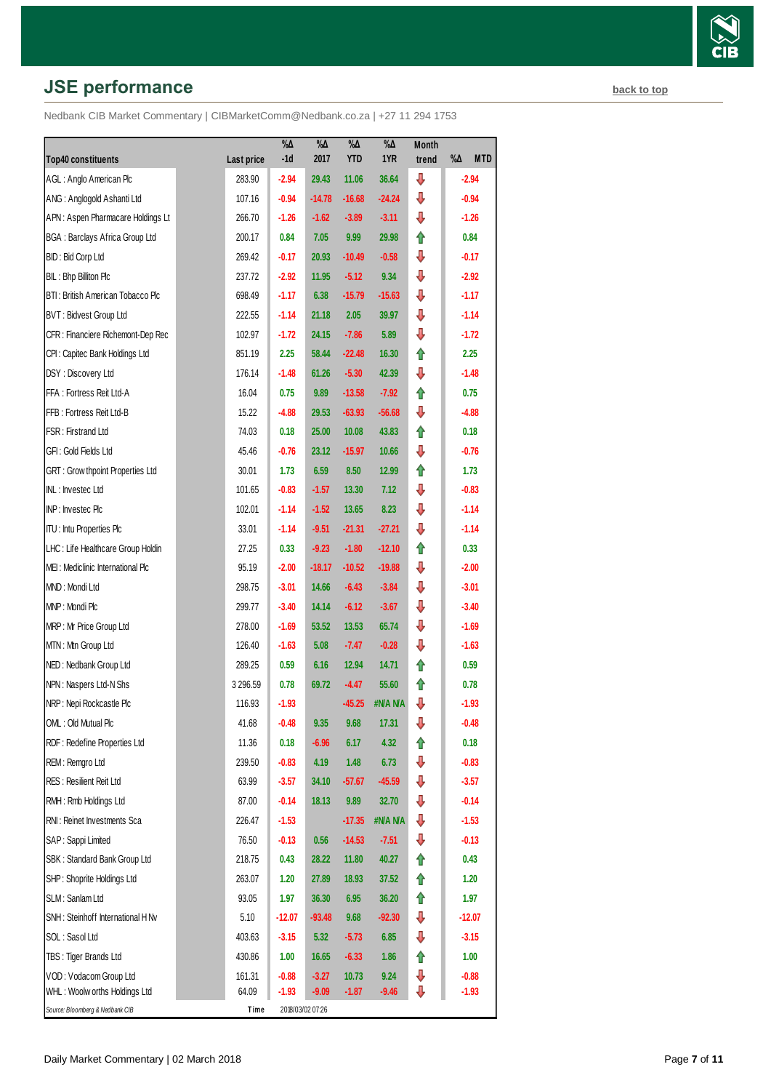# **JSE performance [back to top](#page-0-0) back to top**

Nedbank CIB Market Commentary | CIBMarketComm@Nedbank.co.za | +27 11 294 1753

| <b>Top40 constituents</b>               | Last price | $\% \Delta$<br>$-1d$ | $\% \Delta$<br>2017 | $\% \Delta$<br><b>YTD</b> | $\% \Delta$<br>1YR | Month<br>trend | %Д<br><b>MTD</b> |
|-----------------------------------------|------------|----------------------|---------------------|---------------------------|--------------------|----------------|------------------|
| AGL: Anglo American Plc                 | 283.90     | $-2.94$              | 29.43               | 11.06                     | 36.64              | ⇩              | $-2.94$          |
| ANG: Anglogold Ashanti Ltd              | 107.16     | $-0.94$              | $-14.78$            | $-16.68$                  | $-24.24$           | ⇩              | $-0.94$          |
| APN: Aspen Pharmacare Holdings Lt       | 266.70     | $-1.26$              | $-1.62$             | $-3.89$                   | $-3.11$            | ⇩              | $-1.26$          |
| <b>BGA: Barclays Africa Group Ltd</b>   | 200.17     | 0.84                 | 7.05                | 9.99                      | 29.98              | ⇑              | 0.84             |
| BID: Bid Corp Ltd                       | 269.42     | $-0.17$              | 20.93               | $-10.49$                  | $-0.58$            | ⇩              | $-0.17$          |
| BIL: Bhp Billiton Plc                   | 237.72     | $-2.92$              | 11.95               | $-5.12$                   | 9.34               | ⇩              | $-2.92$          |
| BTI: British American Tobacco Plc       | 698.49     | $-1.17$              | 6.38                | $-15.79$                  | $-15.63$           | ⇩              | $-1.17$          |
| <b>BVT: Bidvest Group Ltd</b>           | 222.55     | $-1.14$              | 21.18               | 2.05                      | 39.97              | ⇩              | $-1.14$          |
| CFR : Financiere Richemont-Dep Rec      | 102.97     | $-1.72$              | 24.15               | $-7.86$                   | 5.89               | ⇩              | $-1.72$          |
| CPI: Capitec Bank Holdings Ltd          | 851.19     | 2.25                 | 58.44               | $-22.48$                  | 16.30              | ⇑              | 2.25             |
| DSY: Discovery Ltd                      | 176.14     | $-1.48$              | 61.26               | $-5.30$                   | 42.39              | ⇩              | $-1.48$          |
| FFA: Fortress Reit Ltd-A                | 16.04      | 0.75                 | 9.89                | $-13.58$                  | $-7.92$            | ⇑              | 0.75             |
| FFB: Fortress Reit Ltd-B                | 15.22      | $-4.88$              | 29.53               | $-63.93$                  | $-56.68$           | ⇩              | $-4.88$          |
| FSR: Firstrand Ltd                      | 74.03      | 0.18                 | 25.00               | 10.08                     | 43.83              | ↟              | 0.18             |
| GFI: Gold Fields Ltd                    | 45.46      | $-0.76$              | 23.12               | $-15.97$                  | 10.66              | ⇩              | $-0.76$          |
| <b>GRT: Grow thpoint Properties Ltd</b> | 30.01      | 1.73                 | 6.59                | 8.50                      | 12.99              | ⇑              | 1.73             |
| INL: Investec Ltd                       | 101.65     | $-0.83$              | $-1.57$             | 13.30                     | 7.12               | ⇩              | $-0.83$          |
| INP: Investec Plc                       | 102.01     | $-1.14$              | $-1.52$             | 13.65                     | 8.23               | ⇩              | $-1.14$          |
| <b>ITU:</b> Intu Properties Plc         | 33.01      | $-1.14$              | $-9.51$             | $-21.31$                  | $-27.21$           | ⇩              | $-1.14$          |
| LHC: Life Healthcare Group Holdin       | 27.25      | 0.33                 | $-9.23$             | $-1.80$                   | $-12.10$           | ⇑              | 0.33             |
| MEI: Mediclinic International Plc       | 95.19      | $-2.00$              | $-18.17$            | $-10.52$                  | $-19.88$           | ⇩              | $-2.00$          |
| MND: Mondi Ltd                          | 298.75     | $-3.01$              | 14.66               | $-6.43$                   | $-3.84$            | ⇩              | $-3.01$          |
| MNP: Mondi Plc                          | 299.77     | $-3.40$              | 14.14               | $-6.12$                   | $-3.67$            | ⇩              | $-3.40$          |
| MRP: Mr Price Group Ltd                 | 278.00     | $-1.69$              | 53.52               | 13.53                     | 65.74              | ⊕              | $-1.69$          |
| MTN: Mtn Group Ltd                      | 126.40     | $-1.63$              | 5.08                | $-7.47$                   | $-0.28$            | ⇩              | $-1.63$          |
| NED: Nedbank Group Ltd                  | 289.25     | 0.59                 | 6.16                | 12.94                     | 14.71              | ⇑              | 0.59             |
| NPN: Naspers Ltd-N Shs                  | 3 296.59   | 0.78                 | 69.72               | $-4.47$                   | 55.60              | ⇑              | 0.78             |
| NRP: Nepi Rockcastle Plc                | 116.93     | $-1.93$              |                     | $-45.25$                  | #N/A N/A           | ⇩              | $-1.93$          |
| OML: Old Mutual Plc                     | 41.68      | $-0.48$              | 9.35                | 9.68                      | 17.31              | ⇩              | $-0.48$          |
| RDF: Redefine Properties Ltd            | 11.36      | 0.18                 | $-6.96$             | 6.17                      | 4.32               | ⇑              | 0.18             |
| REM: Remgro Ltd                         | 239.50     | $-0.83$              | 4.19                | 1.48                      | 6.73               | ⊕              | $-0.83$          |
| <b>RES: Resilient Reit Ltd</b>          | 63.99      | $-3.57$              | 34.10               | $-57.67$                  | $-45.59$           | ⇩              | $-3.57$          |
| RMH: Rmb Holdings Ltd                   | 87.00      | $-0.14$              | 18.13               | 9.89                      | 32.70              | ⊕              | $-0.14$          |
| RNI: Reinet Investments Sca             | 226.47     | $-1.53$              |                     | $-17.35$                  | #NANA              | ⊕              | $-1.53$          |
| SAP: Sappi Limited                      | 76.50      | $-0.13$              | 0.56                | $-14.53$                  | $-7.51$            | ⊕              | $-0.13$          |
| SBK: Standard Bank Group Ltd            | 218.75     | 0.43                 | 28.22               | 11.80                     | 40.27              | ⇑              | 0.43             |
| SHP: Shoprite Holdings Ltd              | 263.07     | 1.20                 | 27.89               | 18.93                     | 37.52              | ⇑              | 1.20             |
| SLM: Sanlam Ltd                         | 93.05      | 1.97                 | 36.30               | 6.95                      | 36.20              | ⇑              | 1.97             |
| SNH: Steinhoff International H Nv       | 5.10       | $-12.07$             | $-93.48$            | 9.68                      | $-92.30$           | ⊕              | $-12.07$         |
| SOL: Sasol Ltd                          | 403.63     | $-3.15$              | 5.32                | $-5.73$                   | 6.85               | ⇓              | $-3.15$          |
| TBS: Tiger Brands Ltd                   | 430.86     | 1.00                 | 16.65               | $-6.33$                   | 1.86               | ⇑              | 1.00             |
| VOD: Vodacom Group Ltd                  | 161.31     | $-0.88$              | $-3.27$             | 10.73                     | 9.24               | ⇓              | $-0.88$          |
| WHL: Woolw orths Holdings Ltd           | 64.09      | $-1.93$              | $-9.09$             | $-1.87$                   | $-9.46$            | ⇩              | $-1.93$          |
| Source: Bloomberg & Nedbank CIB         | Time       |                      | 2018/03/02 07:26    |                           |                    |                |                  |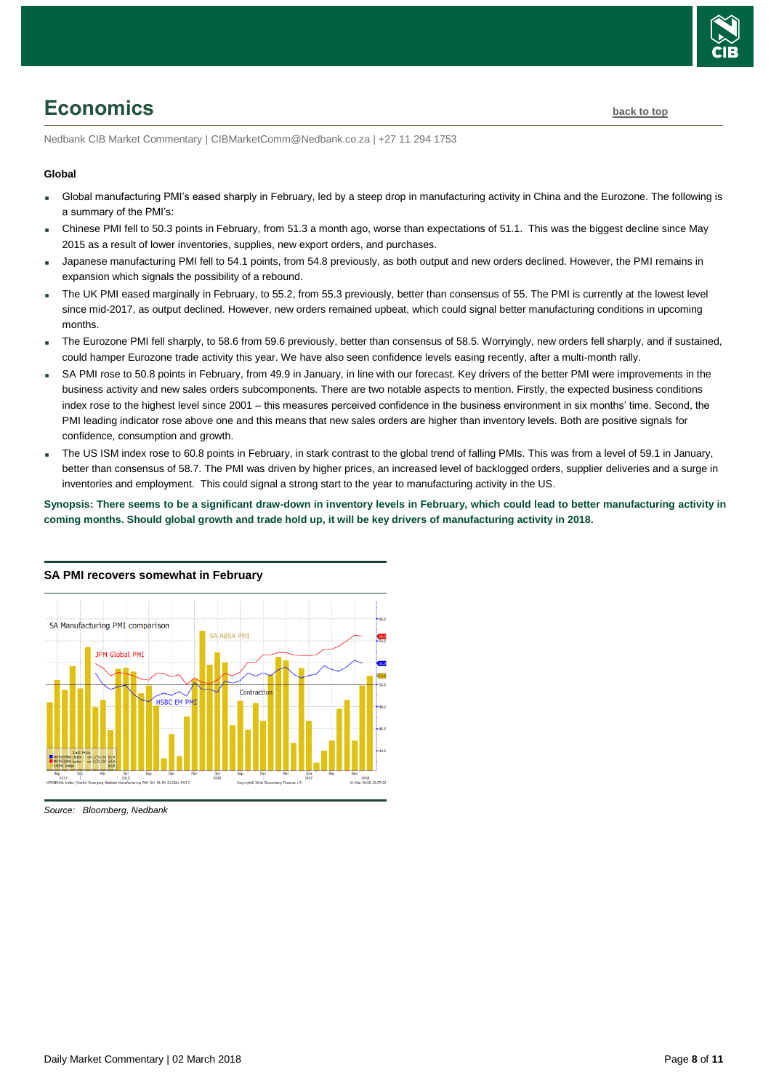

# <span id="page-7-0"></span>**Economics [back to top](#page-0-0)**

Nedbank CIB Market Commentary | CIBMarketComm@Nedbank.co.za | +27 11 294 1753

#### **Global**

- Global manufacturing PMI's eased sharply in February, led by a steep drop in manufacturing activity in China and the Eurozone. The following is a summary of the PMI's:
- Chinese PMI fell to 50.3 points in February, from 51.3 a month ago, worse than expectations of 51.1. This was the biggest decline since May 2015 as a result of lower inventories, supplies, new export orders, and purchases.
- Japanese manufacturing PMI fell to 54.1 points, from 54.8 previously, as both output and new orders declined. However, the PMI remains in expansion which signals the possibility of a rebound.
- The UK PMI eased marginally in February, to 55.2, from 55.3 previously, better than consensus of 55. The PMI is currently at the lowest level since mid-2017, as output declined. However, new orders remained upbeat, which could signal better manufacturing conditions in upcoming months.
- The Eurozone PMI fell sharply, to 58.6 from 59.6 previously, better than consensus of 58.5. Worryingly, new orders fell sharply, and if sustained, could hamper Eurozone trade activity this year. We have also seen confidence levels easing recently, after a multi-month rally.
- SA PMI rose to 50.8 points in February, from 49.9 in January, in line with our forecast. Key drivers of the better PMI were improvements in the business activity and new sales orders subcomponents. There are two notable aspects to mention. Firstly, the expected business conditions index rose to the highest level since 2001 – this measures perceived confidence in the business environment in six months' time. Second, the PMI leading indicator rose above one and this means that new sales orders are higher than inventory levels. Both are positive signals for confidence, consumption and growth.
- The US ISM index rose to 60.8 points in February, in stark contrast to the global trend of falling PMIs. This was from a level of 59.1 in January, better than consensus of 58.7. The PMI was driven by higher prices, an increased level of backlogged orders, supplier deliveries and a surge in inventories and employment. This could signal a strong start to the year to manufacturing activity in the US.

**Synopsis: There seems to be a significant draw-down in inventory levels in February, which could lead to better manufacturing activity in coming months. Should global growth and trade hold up, it will be key drivers of manufacturing activity in 2018.**



#### **SA PMI recovers somewhat in February**

*Source: Bloomberg, Nedbank*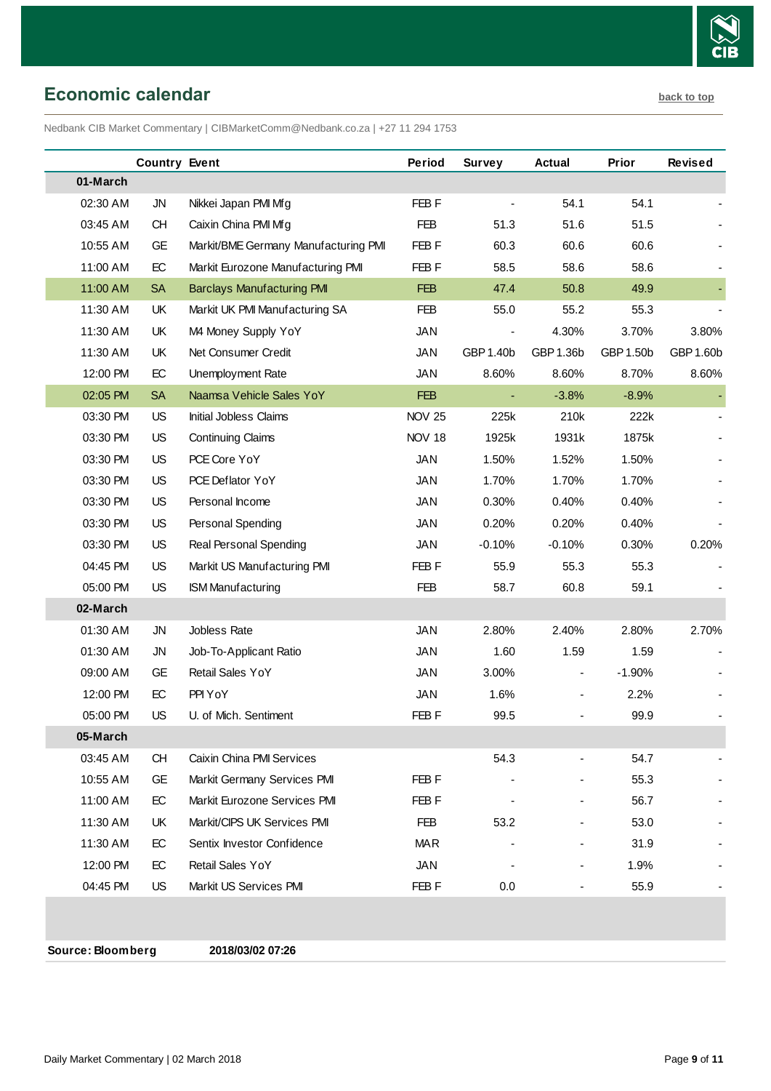

<span id="page-8-0"></span>**Economic calendar [back to top](#page-0-0)** 

Nedbank CIB Market Commentary | CIBMarketComm@Nedbank.co.za | +27 11 294 1753

|          | <b>Country Event</b> |                                      | Period           | <b>Survey</b>            | Actual    | Prior     | <b>Revised</b> |
|----------|----------------------|--------------------------------------|------------------|--------------------------|-----------|-----------|----------------|
| 01-March |                      |                                      |                  |                          |           |           |                |
| 02:30 AM | <b>JN</b>            | Nikkei Japan PMI Mfg                 | FEB <sub>F</sub> |                          | 54.1      | 54.1      |                |
| 03:45 AM | <b>CH</b>            | Caixin China PMI Mfg                 | <b>FEB</b>       | 51.3                     | 51.6      | 51.5      |                |
| 10:55 AM | <b>GE</b>            | Markit/BME Germany Manufacturing PMI | FEB F            | 60.3                     | 60.6      | 60.6      |                |
| 11:00 AM | EC                   | Markit Eurozone Manufacturing PMI    | FEB F            | 58.5                     | 58.6      | 58.6      |                |
| 11:00 AM | <b>SA</b>            | <b>Barclays Manufacturing PMI</b>    | <b>FEB</b>       | 47.4                     | 50.8      | 49.9      |                |
| 11:30 AM | UK                   | Markit UK PMI Manufacturing SA       | <b>FEB</b>       | 55.0                     | 55.2      | 55.3      |                |
| 11:30 AM | UK                   | M4 Money Supply YoY                  | <b>JAN</b>       | $\overline{\phantom{a}}$ | 4.30%     | 3.70%     | 3.80%          |
| 11:30 AM | UK                   | Net Consumer Credit                  | JAN              | GBP 1.40b                | GBP 1.36b | GBP 1.50b | GBP 1.60b      |
| 12:00 PM | EC                   | Unemployment Rate                    | <b>JAN</b>       | 8.60%                    | 8.60%     | 8.70%     | 8.60%          |
| 02:05 PM | <b>SA</b>            | Naamsa Vehicle Sales YoY             | <b>FEB</b>       | $\blacksquare$           | $-3.8%$   | $-8.9%$   |                |
| 03:30 PM | US                   | Initial Jobless Claims               | <b>NOV 25</b>    | 225k                     | 210k      | 222k      |                |
| 03:30 PM | US                   | <b>Continuing Claims</b>             | <b>NOV 18</b>    | 1925k                    | 1931k     | 1875k     |                |
| 03:30 PM | US                   | PCE Core YoY                         | <b>JAN</b>       | 1.50%                    | 1.52%     | 1.50%     |                |
| 03:30 PM | US                   | PCE Deflator YoY                     | <b>JAN</b>       | 1.70%                    | 1.70%     | 1.70%     |                |
| 03:30 PM | US                   | Personal Income                      | <b>JAN</b>       | 0.30%                    | 0.40%     | 0.40%     |                |
| 03:30 PM | US                   | Personal Spending                    | <b>JAN</b>       | 0.20%                    | 0.20%     | 0.40%     |                |
| 03:30 PM | US                   | Real Personal Spending               | <b>JAN</b>       | $-0.10%$                 | $-0.10%$  | 0.30%     | 0.20%          |
| 04:45 PM | US                   | Markit US Manufacturing PMI          | FEB F            | 55.9                     | 55.3      | 55.3      |                |
| 05:00 PM | US                   | <b>ISM Manufacturing</b>             | <b>FEB</b>       | 58.7                     | 60.8      | 59.1      |                |
| 02-March |                      |                                      |                  |                          |           |           |                |
| 01:30 AM | <b>JN</b>            | Jobless Rate                         | <b>JAN</b>       | 2.80%                    | 2.40%     | 2.80%     | 2.70%          |
| 01:30 AM | JN                   | Job-To-Applicant Ratio               | <b>JAN</b>       | 1.60                     | 1.59      | 1.59      |                |
| 09:00 AM | GE                   | Retail Sales YoY                     | <b>JAN</b>       | 3.00%                    |           | $-1.90%$  |                |
| 12:00 PM | EC                   | PPI YoY                              | <b>JAN</b>       | 1.6%                     |           | 2.2%      |                |
| 05:00 PM | <b>US</b>            | U. of Mich. Sentiment                | FEB F            | 99.5                     |           | 99.9      |                |
| 05-March |                      |                                      |                  |                          |           |           |                |
| 03:45 AM | <b>CH</b>            | Caixin China PMI Services            |                  | 54.3                     |           | 54.7      |                |
| 10:55 AM | GE                   | Markit Germany Services PMI          | FEB F            |                          |           | 55.3      |                |
| 11:00 AM | EC                   | Markit Eurozone Services PMI         | FEB F            |                          |           | 56.7      |                |
| 11:30 AM | UK                   | Markit/CIPS UK Services PMI          | <b>FEB</b>       | 53.2                     |           | 53.0      |                |
| 11:30 AM | EC                   | Sentix Investor Confidence           | <b>MAR</b>       |                          |           | 31.9      |                |
| 12:00 PM | EC                   | Retail Sales YoY                     | <b>JAN</b>       |                          |           | 1.9%      |                |
| 04:45 PM | <b>US</b>            | Markit US Services PMI               | FEB <sub>F</sub> | 0.0                      |           | 55.9      |                |
|          |                      |                                      |                  |                          |           |           |                |

**Source: Bloomberg 2018/03/02 07:26**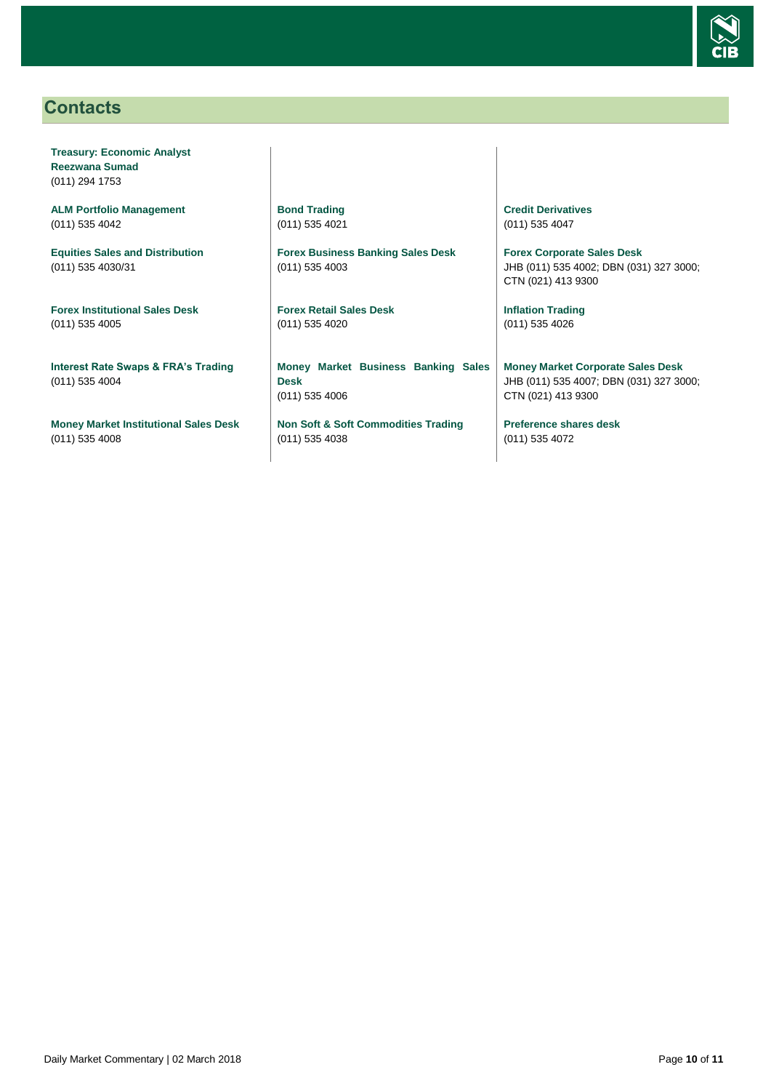

## <span id="page-9-0"></span>**Contacts**

**Treasury: Economic Analyst Reezwana Sumad** (011) 294 1753

**ALM Portfolio Management** (011) 535 4042

**Equities Sales and Distribution** (011) 535 4030/31

**Forex Institutional Sales Desk** (011) 535 4005

**Interest Rate Swaps & FRA's Trading** (011) 535 4004

**Money Market Institutional Sales Desk** (011) 535 4008

**Bond Trading** (011) 535 4021

**Forex Business Banking Sales Desk** (011) 535 4003

**Forex Retail Sales Desk** (011) 535 4020

**Money Market Business Banking Sales Desk** (011) 535 4006

**Non Soft & Soft Commodities Trading** (011) 535 4038

**Credit Derivatives**  (011) 535 4047

**Forex Corporate Sales Desk** JHB (011) 535 4002; DBN (031) 327 3000; CTN (021) 413 9300

**Inflation Trading** (011) 535 4026

**Money Market Corporate Sales Desk** JHB (011) 535 4007; DBN (031) 327 3000; CTN (021) 413 9300

**Preference shares desk** (011) 535 4072